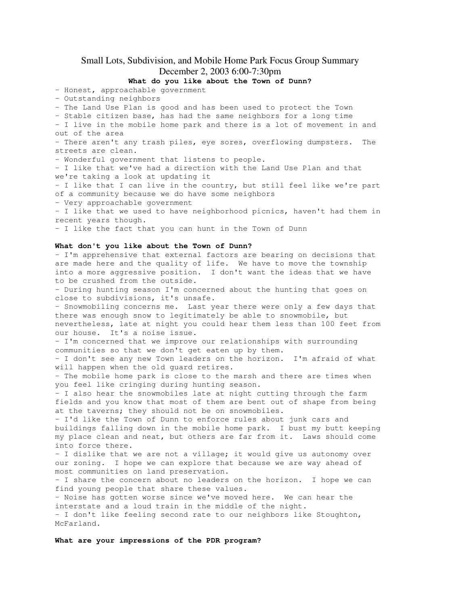# Small Lots, Subdivision, and Mobile Home Park Focus Group Summary December 2, 2003 6:00-7:30pm

## **What do you like about the Town of Dunn?**

- Honest, approachable government

- Outstanding neighbors

- The Land Use Plan is good and has been used to protect the Town

- Stable citizen base, has had the same neighbors for a long time

- I live in the mobile home park and there is a lot of movement in and out of the area

- There aren't any trash piles, eye sores, overflowing dumpsters. The streets are clean.

- Wonderful government that listens to people.

- I like that we've had a direction with the Land Use Plan and that we're taking a look at updating it

- I like that I can live in the country, but still feel like we're part of a community because we do have some neighbors

- Very approachable government

- I like that we used to have neighborhood picnics, haven't had them in recent years though.

- I like the fact that you can hunt in the Town of Dunn

### **What don't you like about the Town of Dunn?**

- I'm apprehensive that external factors are bearing on decisions that are made here and the quality of life. We have to move the township into a more aggressive position. I don't want the ideas that we have to be crushed from the outside. - During hunting season I'm concerned about the hunting that goes on close to subdivisions, it's unsafe. - Snowmobiling concerns me. Last year there were only a few days that there was enough snow to legitimately be able to snowmobile, but nevertheless, late at night you could hear them less than 100 feet from our house. It's a noise issue. - I'm concerned that we improve our relationships with surrounding communities so that we don't get eaten up by them. - I don't see any new Town leaders on the horizon. I'm afraid of what will happen when the old guard retires. - The mobile home park is close to the marsh and there are times when you feel like cringing during hunting season. - I also hear the snowmobiles late at night cutting through the farm fields and you know that most of them are bent out of shape from being at the taverns; they should not be on snowmobiles. - I'd like the Town of Dunn to enforce rules about junk cars and buildings falling down in the mobile home park. I bust my butt keeping my place clean and neat, but others are far from it. Laws should come into force there. - I dislike that we are not a village; it would give us autonomy over our zoning. I hope we can explore that because we are way ahead of most communities on land preservation. - I share the concern about no leaders on the horizon. I hope we can find young people that share these values. - Noise has gotten worse since we've moved here. We can hear the interstate and a loud train in the middle of the night. - I don't like feeling second rate to our neighbors like Stoughton, McFarland.

#### **What are your impressions of the PDR program?**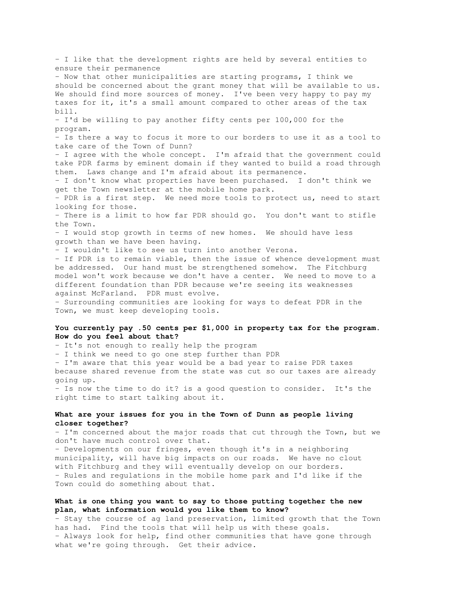- I like that the development rights are held by several entities to ensure their permanence - Now that other municipalities are starting programs, I think we should be concerned about the grant money that will be available to us. We should find more sources of money. I've been very happy to pay my taxes for it, it's a small amount compared to other areas of the tax bill. - I'd be willing to pay another fifty cents per 100,000 for the program. - Is there a way to focus it more to our borders to use it as a tool to take care of the Town of Dunn? - I agree with the whole concept. I'm afraid that the government could take PDR farms by eminent domain if they wanted to build a road through them. Laws change and I'm afraid about its permanence. - I don't know what properties have been purchased. I don't think we get the Town newsletter at the mobile home park. - PDR is a first step. We need more tools to protect us, need to start looking for those. - There is a limit to how far PDR should go. You don't want to stifle the Town. - I would stop growth in terms of new homes. We should have less growth than we have been having. - I wouldn't like to see us turn into another Verona. - If PDR is to remain viable, then the issue of whence development must be addressed. Our hand must be strengthened somehow. The Fitchburg model won't work because we don't have a center. We need to move to a different foundation than PDR because we're seeing its weaknesses against McFarland. PDR must evolve. - Surrounding communities are looking for ways to defeat PDR in the Town, we must keep developing tools. **You currently pay .50 cents per \$1,000 in property tax for the program. How do you feel about that?** - It's not enough to really help the program - I think we need to go one step further than PDR - I'm aware that this year would be a bad year to raise PDR taxes because shared revenue from the state was cut so our taxes are already going up. - Is now the time to do it? is a good question to consider. It's the right time to start talking about it.

## **What are your issues for you in the Town of Dunn as people living closer together?**

- I'm concerned about the major roads that cut through the Town, but we don't have much control over that.

- Developments on our fringes, even though it's in a neighboring municipality, will have big impacts on our roads. We have no clout with Fitchburg and they will eventually develop on our borders. - Rules and regulations in the mobile home park and I'd like if the Town could do something about that.

## **What is one thing you want to say to those putting together the new plan, what information would you like them to know?**

- Stay the course of ag land preservation, limited growth that the Town has had. Find the tools that will help us with these goals. - Always look for help, find other communities that have gone through what we're going through. Get their advice.